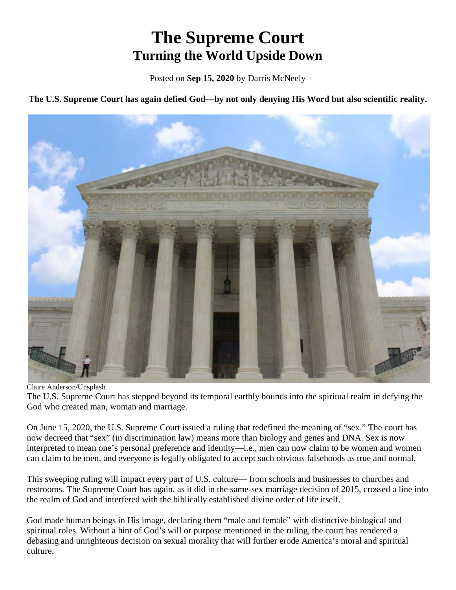# **The Supreme Court Turning the World Upside Down**

Posted on **Sep 15, 2020** by Darris McNeely

**The U.S. Supreme Court has again defied God—by not only denying His Word but also scientific reality.**



Claire Anderson/Unsplash

The U.S. Supreme Court has stepped beyond its temporal earthly bounds into the spiritual realm in defying the God who created man, woman and marriage.

On June 15, 2020, the U.S. Supreme Court issued a ruling that redefined the meaning of "sex." The court has now decreed that "sex" (in discrimination law) means more than biology and genes and DNA. Sex is now interpreted to mean one's personal preference and identity—i.e., men can now claim to be women and women can claim to be men, and everyone is legally obligated to accept such obvious falsehoods as true and normal.

This sweeping ruling will impact every part of U.S. culture— from schools and businesses to churches and restrooms. The Supreme Court has again, as it did in the same-sex marriage decision of 2015, crossed a line into the realm of God and interfered with the biblically established divine order of life itself.

God made human beings in His image, declaring them "male and female" with distinctive biological and spiritual roles. Without a hint of God's will or purpose mentioned in the ruling, the court has rendered a debasing and unrighteous decision on sexual morality that will further erode America's moral and spiritual culture.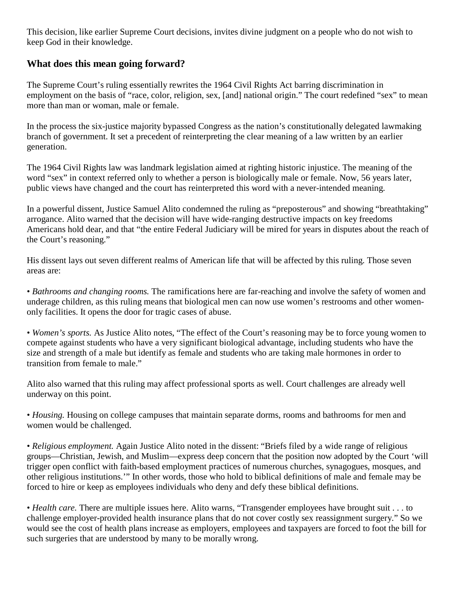This decision, like earlier Supreme Court decisions, invites divine judgment on a people who do not wish to keep God in their knowledge.

#### **What does this mean going forward?**

The Supreme Court's ruling essentially rewrites the 1964 Civil Rights Act barring discrimination in employment on the basis of "race, color, religion, sex, [and] national origin." The court redefined "sex" to mean more than man or woman, male or female.

In the process the six-justice majority bypassed Congress as the nation's constitutionally delegated lawmaking branch of government. It set a precedent of reinterpreting the clear meaning of a law written by an earlier generation.

The 1964 Civil Rights law was landmark legislation aimed at righting historic injustice. The meaning of the word "sex" in context referred only to whether a person is biologically male or female. Now, 56 years later, public views have changed and the court has reinterpreted this word with a never-intended meaning.

In a powerful dissent, Justice Samuel Alito condemned the ruling as "preposterous" and showing "breathtaking" arrogance. Alito warned that the decision will have wide-ranging destructive impacts on key freedoms Americans hold dear, and that "the entire Federal Judiciary will be mired for years in disputes about the reach of the Court's reasoning."

His dissent lays out seven different realms of American life that will be affected by this ruling. Those seven areas are:

*• Bathrooms and changing rooms.* The ramifications here are far-reaching and involve the safety of women and underage children, as this ruling means that biological men can now use women's restrooms and other womenonly facilities. It opens the door for tragic cases of abuse.

*• Women's sports.* As Justice Alito notes, "The effect of the Court's reasoning may be to force young women to compete against students who have a very significant biological advantage, including students who have the size and strength of a male but identify as female and students who are taking male hormones in order to transition from female to male."

Alito also warned that this ruling may affect professional sports as well. Court challenges are already well underway on this point.

*• Housing.* Housing on college campuses that maintain separate dorms, rooms and bathrooms for men and women would be challenged.

*• Religious employment.* Again Justice Alito noted in the dissent: "Briefs filed by a wide range of religious groups—Christian, Jewish, and Muslim—express deep concern that the position now adopted by the Court 'will trigger open conflict with faith-based employment practices of numerous churches, synagogues, mosques, and other religious institutions.'" In other words, those who hold to biblical definitions of male and female may be forced to hire or keep as employees individuals who deny and defy these biblical definitions.

*• Health care.* There are multiple issues here. Alito warns, "Transgender employees have brought suit . . . to challenge employer-provided health insurance plans that do not cover costly sex reassignment surgery." So we would see the cost of health plans increase as employers, employees and taxpayers are forced to foot the bill for such surgeries that are understood by many to be morally wrong.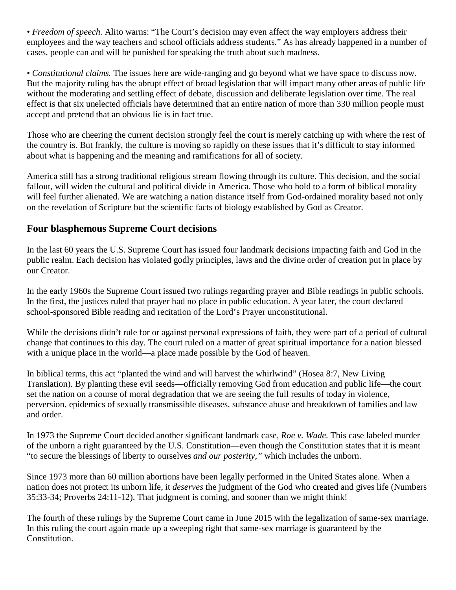*• Freedom of speech.* Alito warns: "The Court's decision may even affect the way employers address their employees and the way teachers and school officials address students." As has already happened in a number of cases, people can and will be punished for speaking the truth about such madness.

*• Constitutional claims.* The issues here are wide-ranging and go beyond what we have space to discuss now. But the majority ruling has the abrupt effect of broad legislation that will impact many other areas of public life without the moderating and settling effect of debate, discussion and deliberate legislation over time. The real effect is that six unelected officials have determined that an entire nation of more than 330 million people must accept and pretend that an obvious lie is in fact true.

Those who are cheering the current decision strongly feel the court is merely catching up with where the rest of the country is. But frankly, the culture is moving so rapidly on these issues that it's difficult to stay informed about what is happening and the meaning and ramifications for all of society.

America still has a strong traditional religious stream flowing through its culture. This decision, and the social fallout, will widen the cultural and political divide in America. Those who hold to a form of biblical morality will feel further alienated. We are watching a nation distance itself from God-ordained morality based not only on the revelation of Scripture but the scientific facts of biology established by God as Creator.

#### **Four blasphemous Supreme Court decisions**

In the last 60 years the U.S. Supreme Court has issued four landmark decisions impacting faith and God in the public realm. Each decision has violated godly principles, laws and the divine order of creation put in place by our Creator.

In the early 1960s the Supreme Court issued two rulings regarding prayer and Bible readings in public schools. In the first, the justices ruled that prayer had no place in public education. A year later, the court declared school-sponsored Bible reading and recitation of the Lord's Prayer unconstitutional.

While the decisions didn't rule for or against personal expressions of faith, they were part of a period of cultural change that continues to this day. The court ruled on a matter of great spiritual importance for a nation blessed with a unique place in the world—a place made possible by the God of heaven.

In biblical terms, this act "planted the wind and will harvest the whirlwind" (Hosea 8:7, New Living Translation). By planting these evil seeds—officially removing God from education and public life—the court set the nation on a course of moral degradation that we are seeing the full results of today in violence, perversion, epidemics of sexually transmissible diseases, substance abuse and breakdown of families and law and order.

In 1973 the Supreme Court decided another significant landmark case, *Roe v. Wade.* This case labeled murder of the unborn a right guaranteed by the U.S. Constitution—even though the Constitution states that it is meant "to secure the blessings of liberty to ourselves *and our posterity,"* which includes the unborn.

Since 1973 more than 60 million abortions have been legally performed in the United States alone. When a nation does not protect its unborn life, it *deserves* the judgment of the God who created and gives life (Numbers 35:33-34; Proverbs 24:11-12). That judgment is coming, and sooner than we might think!

The fourth of these rulings by the Supreme Court came in June 2015 with the legalization of same-sex marriage. In this ruling the court again made up a sweeping right that same-sex marriage is guaranteed by the Constitution.